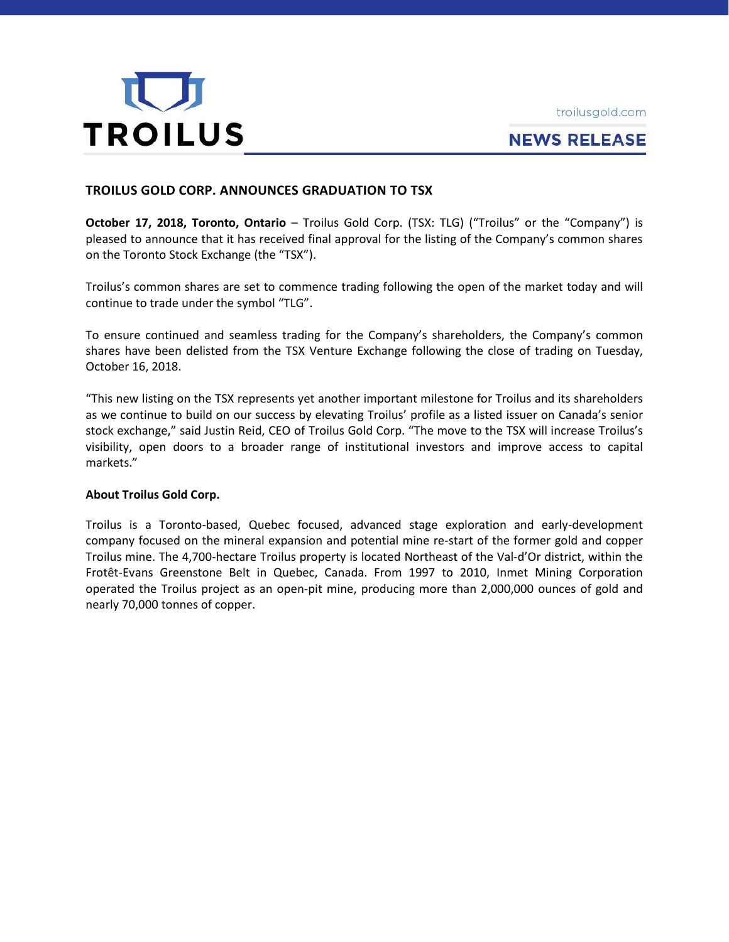



# **NEWS RELEASE**

## **TROILUS GOLD CORP. ANNOUNCES GRADUATION TO TSX**

**October 17, 2018, Toronto, Ontario** – Troilus Gold Corp. (TSX: TLG) ("Troilus" or the "Company") is pleased to announce that it has received final approval for the listing of the Company's common shares on the Toronto Stock Exchange (the "TSX").

Troilus's common shares are set to commence trading following the open of the market today and will continue to trade under the symbol "TLG".

To ensure continued and seamless trading for the Company's shareholders, the Company's common shares have been delisted from the TSX Venture Exchange following the close of trading on Tuesday, October 16, 2018.

"This new listing on the TSX represents yet another important milestone for Troilus and its shareholders as we continue to build on our success by elevating Troilus' profile as a listed issuer on Canada's senior stock exchange," said Justin Reid, CEO of Troilus Gold Corp. "The move to the TSX will increase Troilus's visibility, open doors to a broader range of institutional investors and improve access to capital markets."

### **About Troilus Gold Corp.**

Troilus is a Toronto-based, Quebec focused, advanced stage exploration and early-development company focused on the mineral expansion and potential mine re-start of the former gold and copper Troilus mine. The 4,700-hectare Troilus property is located Northeast of the Val-d'Or district, within the Frotêt-Evans Greenstone Belt in Quebec, Canada. From 1997 to 2010, Inmet Mining Corporation operated the Troilus project as an open-pit mine, producing more than 2,000,000 ounces of gold and nearly 70,000 tonnes of copper.